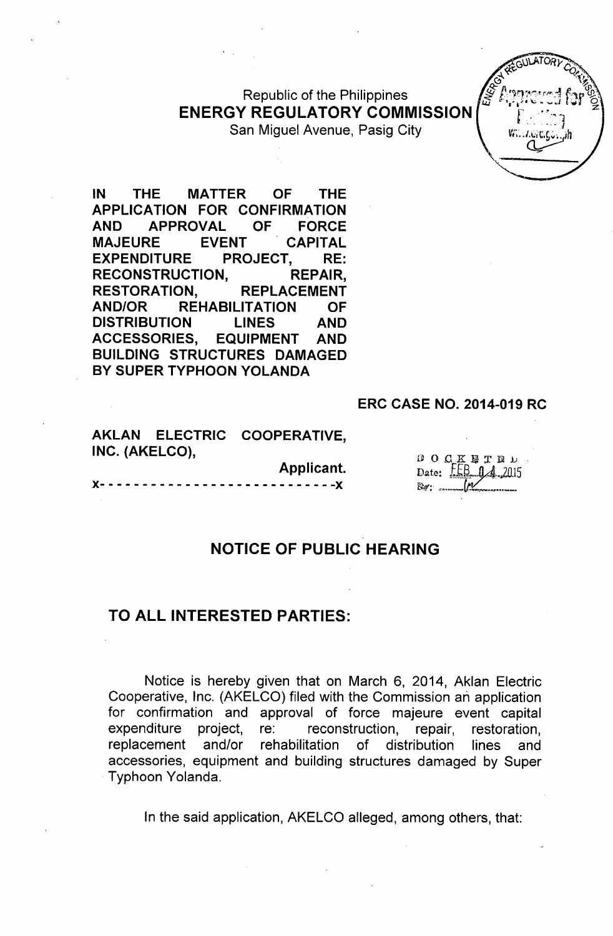Republic of the Philippines **ENERGY REGULATORY COMMISSION** San Miguel Avenue, Pasig City



**IN THE MATTER OF THE APPLICATION FOR CONFIRMATION AND APPROVAL OF FORCE MAJEURE EVENT CAPITAL EXPENDITURE PROJECT, RE: RECONSTRUCTION, REPAIR, RESTORATION, REPLACEMENT AND/OR REHABILITATION OF DISTRIBUTION LINES AND ACCESSORIES, EQUIPMENT AND BUILDING STRUCTURES DAMAGED** BY SUPER TYPHOON YOLANDA

#### **ERC CASE NO. 2014-019 RC**

**AKLAN ELECTRIC COOPERATIVE, INC. (AKELCO),**

|                               |  |  |  |  |  |  |  |  |  |  |  |  |  | Applicant. |  |
|-------------------------------|--|--|--|--|--|--|--|--|--|--|--|--|--|------------|--|
| X---------------------------X |  |  |  |  |  |  |  |  |  |  |  |  |  |            |  |

**DOCKETED** Date:  $LEB_1A_2015$ **Ra** ......

### **NOTICE OF PUBLIC HEARING**

### **TO ALL INTERESTED PARTIES:**

Notice is hereby given that on March 6, 2014, Aklan Electric Cooperative, Inc. (AKELCO) filed with the Commission an application for confirmation and approval of force majeure event capital expenditure project, re: reconstruction, repair, restoration, replacement and/or rehabilitation of distribution lines and accessories, equipment and building structures damaged by Super Typhoon Yolanda.

In the said application, AKELCO alleged, among others, that: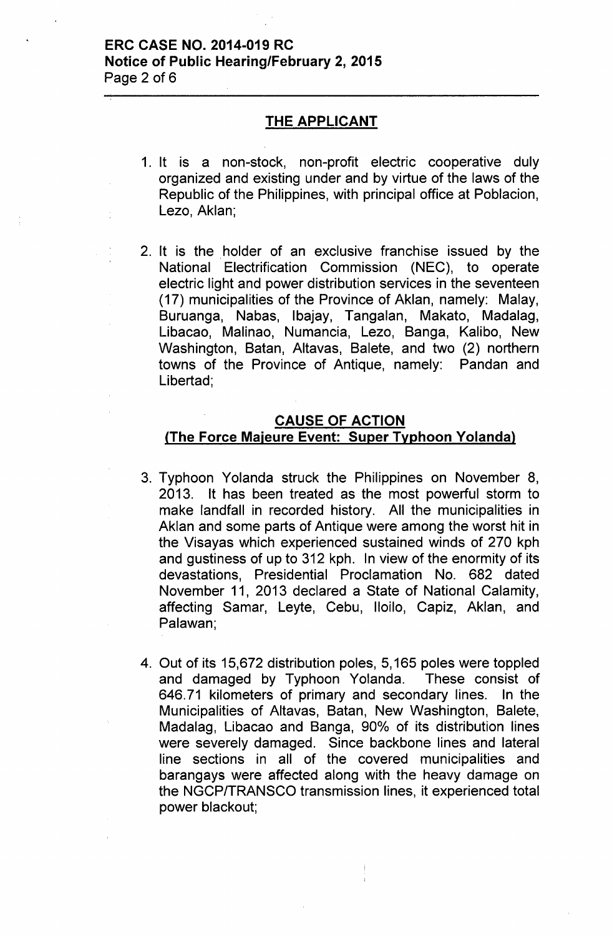### ERC CASE NO. 2014-019 RC Notice of Public Hearing/February 2, 2015 Page 2 of 6

### THE APPLICANT

- 1. It is a non-stock, non-profit electric cooperative duly organized and existing under and by virtue of the laws of the Republic of the Philippines, with principal office at Poblacion, Lezo, Aklan;
- 2. It is the holder of an exclusive franchise issued by the National Electrification Commission (NEC), to operate electric light and power distribution services in the seventeen (17) municipalities of the Province of Aklan, namely: Malay, Buruanga, Nabas, Ibajay, Tangalan, Makato, Madalag, Libacao, Malinao, Numancia, Lezo, Banga, Kalibo, New Washington, Batan, Altavas, Balete, and two (2) northern towns of the Province of Antique, namely: Pandan and Libertad;

# CAUSE OF ACTION ,(The Force Majeure Event: Super Typhoon Yolanda),

- 3. Typhoon Yolanda struck the Philippines on November 8, 2013, It has been treated as the most powerful storm to make landfall in recorded history. All the municipalities in Aklan and some parts of Antique were among the worst hit in the Visayas which experienced sustained winds of 270 kph and gustiness of up to 312 kph. In view of the enormity of its devastations, Presidential Proclamation No. 682 dated November 11, 2013 declared a State of National Calamity, affecting Samar, Leyte, Cebu, Iloilo, Capiz, Aklan, and Palawan;
- 4. Out of its 15,672 distribution poles, 5,165 poles were toppled and damaged by Typhoon Yolanda. These consist of 646.71 kilometers of primary and secondary lines. In the Municipalities of Altavas, Batan, New Washington, Balete, Madalag, Libacao and Banga, 90% of its distribution lines were severely damaged. Since backbone lines and lateral line sections in all of the covered municipalities and barangays were affected along with the heavy damage on the NGCPITRANSCO transmission lines, it experienced total power blackout;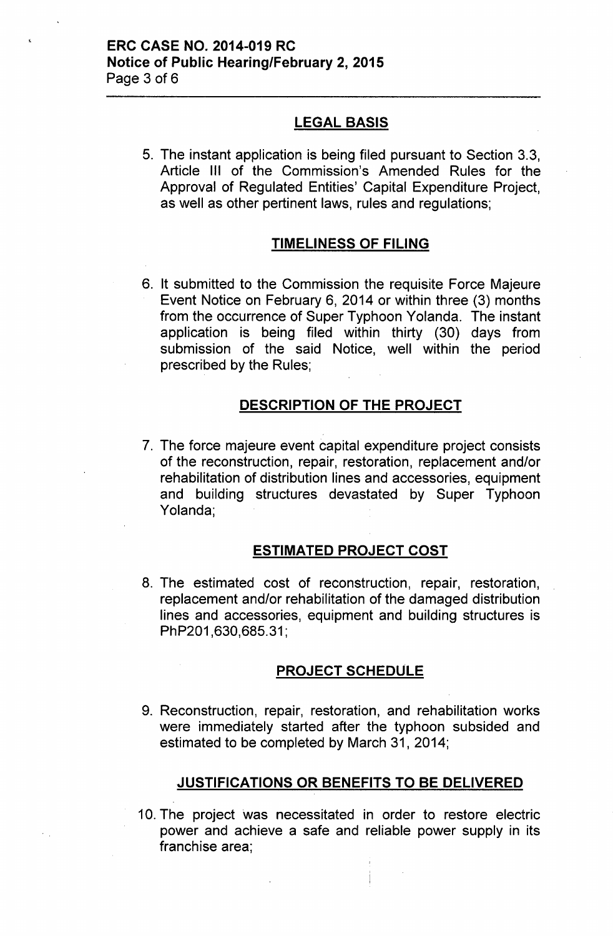# LEGAL BASIS

5. The instant application is being filed pursuant to Section 3.3, Article III of the Commission's Amended Rules for the Approval of Regulated Entities' Capital Expenditure Project, as well as other pertinent laws, rules and regulations;

# TIMELINESS OF FILING

6. It submitted to the Commission the requisite Force Majeure Event Notice on February 6, 2014 or within three (3) months from the occurrence of Super Typhoon Yolanda. The instant application is being filed within thirty (30) days from submission of the said Notice, well within the period prescribed by the Rules;

# DESCRIPTION OF THE PROJECT

7. The force majeure event capital expenditure project consists of the reconstruction, repair, restoration, replacement and/or rehabilitation of distribution lines and accessories, equipment and building structures devastated by Super Typhoon Yolanda;

#### ESTIMATED PROJECT COST

8. The estimated cost of reconstruction, repair, restoration, replacement and/or rehabilitation of the damaged distribution lines and accessories, equipment and building structures is PhP201,630,685.31;

# PROJECT SCHEDULE

9. Reconstruction, repair, restoration, and rehabilitation works were immediately started after the typhoon subsided and estimated to be completed by March 31, 2014;

# JUSTIFICATIONS OR BENEFITS TO BE DELIVERED

10. The project was necessitated in order to restore electric power and achieve a safe and reliable power supply in its franchise area;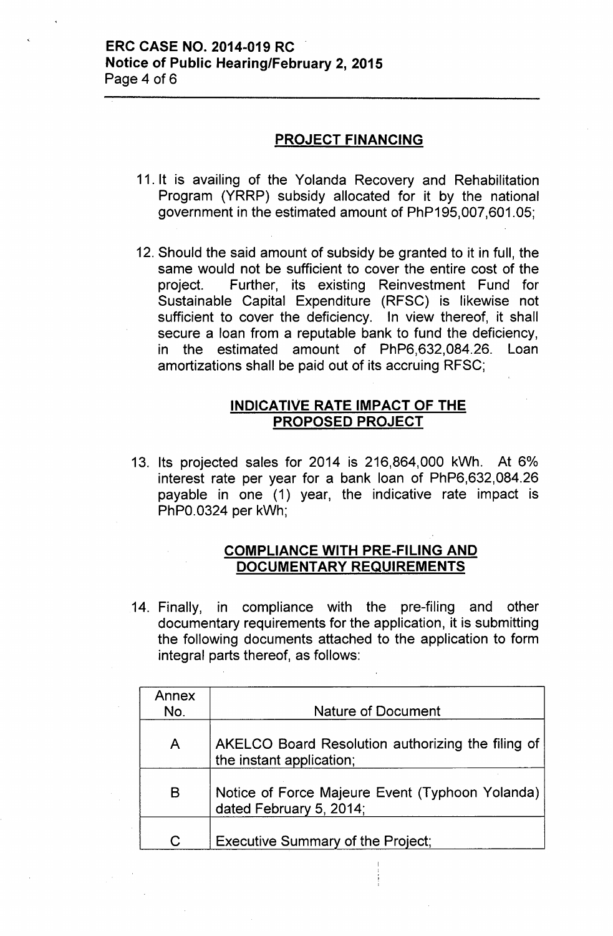# **ERC CASE NO. 2014-019 RC Notice of Public Hearing/February 2, 2015** Page 4 of 6

### **PROJECT FINANCING**

- 11. It is availing of the Yolanda Recovery and Rehabilitation Program (YRRP) subsidy allocated for it by the national government in the estimated amount of PhP195,007,601.05;
- 12. Should the said amount of subsidy be granted to it in full, the same would not be sufficient to cover the entire cost of the project. Further, its existing Reinvestment Fund for Sustainable Capital Expenditure (RFSC) is likewise not sufficient to cover the deficiency. In view thereof, it shall secure a loan from a reputable bank to fund the deficiency, in the estimated amount of PhP6,632,084.26. Loan amortizations shall be paid out of its accruing RFSC;

# **INDICATIVE RATE IMPACT OF THE PROPOSED PROJECT**

13. Its projected sales for 2014 is 216,864,000 kWh. At 6%) interest rate per year for a bank loan of PhP6,632,084.26 payable in one (1) year, the indicative rate impact is PhPO.0324 per kWh;

# **COMPLIANCE WITH PRE-FILING AND DOCUMENTARY REQUIREMENTS**

14. Finally, in compliance with the pre-filing and other documentary requirements for the application, it is submitting the following documents attached to the application to form integral parts thereof, as follows:

| Annex<br>No. | <b>Nature of Document</b>                                                     |
|--------------|-------------------------------------------------------------------------------|
| A            | AKELCO Board Resolution authorizing the filing of<br>the instant application; |
| B            | Notice of Force Majeure Event (Typhoon Yolanda)<br>dated February 5, 2014;    |
| C.           | <b>Executive Summary of the Project;</b>                                      |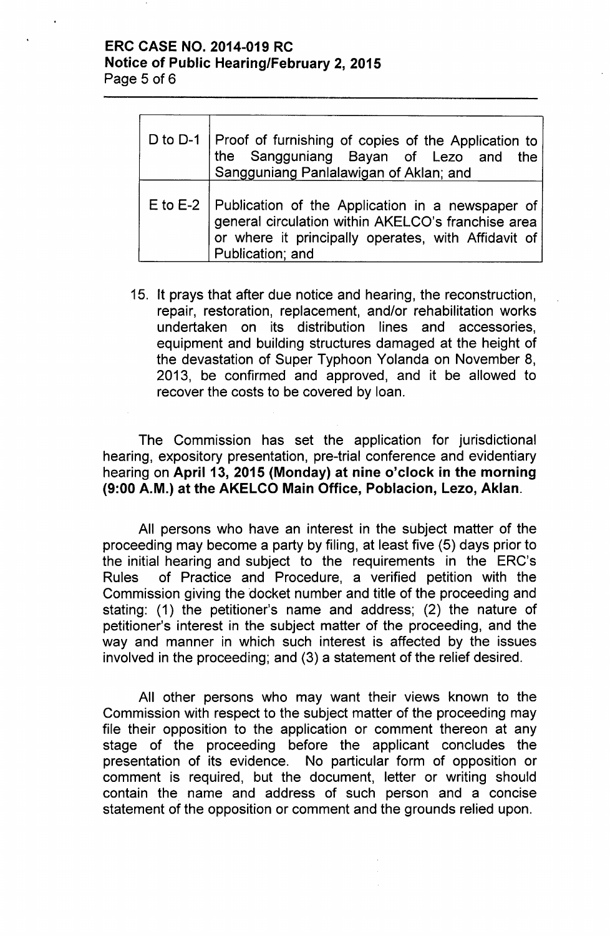## ERC CASE NO. 2014-019 RC Notice of Public Hearing/February 2, 2015 Page 5 of 6

| D to D-1 Proof of furnishing of copies of the Application to<br>the Sangguniang Bayan of Lezo and the<br>Sangguniang Panlalawigan of Aklan; and                                              |
|----------------------------------------------------------------------------------------------------------------------------------------------------------------------------------------------|
| E to E-2   Publication of the Application in a newspaper of<br>general circulation within AKELCO's franchise area<br>or where it principally operates, with Affidavit of<br>Publication; and |

15. It prays that after due notice and hearing, the reconstruction, repair, restoration, replacement, and/or rehabilitation works undertaken on its distribution lines and accessories, equipment and building structures damaged at the height of the devastation of Super Typhoon Yolanda on November 8, 2013, be confirmed and approved, and it be allowed to recover the costs to be covered by loan.

The Commission has set the application for jurisdictional hearing, expository presentation, pre-trial conference and evidentiary hearing on April 13, 2015 (Monday) at nine o'clock in the morning (9:00 A.M.) at the AKELCO Main Office, Poblacion, Lezo, Aklan.

All persons who have an interest in the subject matter of the proceeding may become a party by filing, at least five (5) days prior to the initial hearing and subject to the requirements in the ERC's Rules of Practice and Procedure, a verified petition with the Commission giving the docket number and title of the proceeding and stating: (1) the petitioner's name and address; (2) the nature of petitioner's interest in the subject matter of the proceeding, and the way and manner in which such interest is affected by the issues involved in the proceeding; and (3) a statement of the relief desired.

All other persons who may want their views known to the Commission with respect to the subject matter of the proceeding may file their opposition to the application or comment thereon at any stage of the proceeding before the applicant concludes the presentation of its evidence. No particular form of opposition or comment is required, but the document, letter or writing should contain the name and address of such person and a concise statement of the opposition or comment and the grounds relied upon.